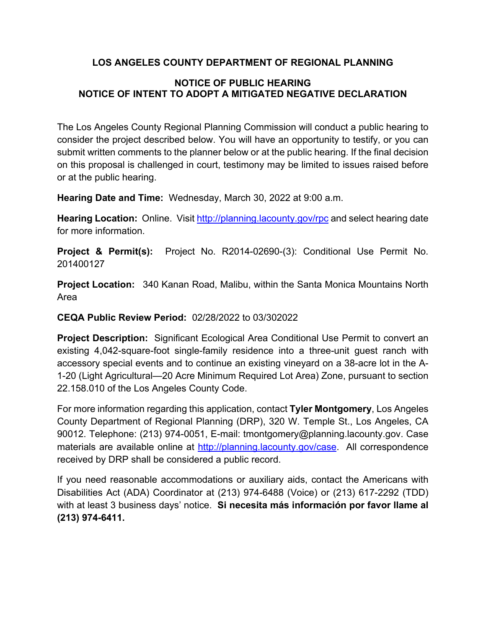## **LOS ANGELES COUNTY DEPARTMENT OF REGIONAL PLANNING**

## **NOTICE OF PUBLIC HEARING NOTICE OF INTENT TO ADOPT A MITIGATED NEGATIVE DECLARATION**

The Los Angeles County Regional Planning Commission will conduct a public hearing to consider the project described below. You will have an opportunity to testify, or you can submit written comments to the planner below or at the public hearing. If the final decision on this proposal is challenged in court, testimony may be limited to issues raised before or at the public hearing.

**Hearing Date and Time:** Wednesday, March 30, 2022 at 9:00 a.m.

**Hearing Location:** Online. Visit<http://planning.lacounty.gov/rpc> and select hearing date for more information.

**Project & Permit(s):** Project No. R2014-02690-(3): Conditional Use Permit No. 201400127

**Project Location:** 340 Kanan Road, Malibu, within the Santa Monica Mountains North Area

## **CEQA Public Review Period:** 02/28/2022 to 03/302022

**Project Description:** Significant Ecological Area Conditional Use Permit to convert an existing 4,042-square-foot single-family residence into a three-unit guest ranch with accessory special events and to continue an existing vineyard on a 38-acre lot in the A-1-20 (Light Agricultural—20 Acre Minimum Required Lot Area) Zone, pursuant to section 22.158.010 of the Los Angeles County Code.

For more information regarding this application, contact **Tyler Montgomery**, Los Angeles County Department of Regional Planning (DRP), 320 W. Temple St., Los Angeles, CA 90012. Telephone: (213) 974-0051, E-mail: tmontgomery@planning.lacounty.gov. Case materials are available online at [http://planning.lacounty.gov/case.](http://planning.lacounty.gov/case) All correspondence received by DRP shall be considered a public record.

If you need reasonable accommodations or auxiliary aids, contact the Americans with Disabilities Act (ADA) Coordinator at (213) 974-6488 (Voice) or (213) 617-2292 (TDD) with at least 3 business days' notice. **Si necesita más información por favor llame al (213) 974-6411.**